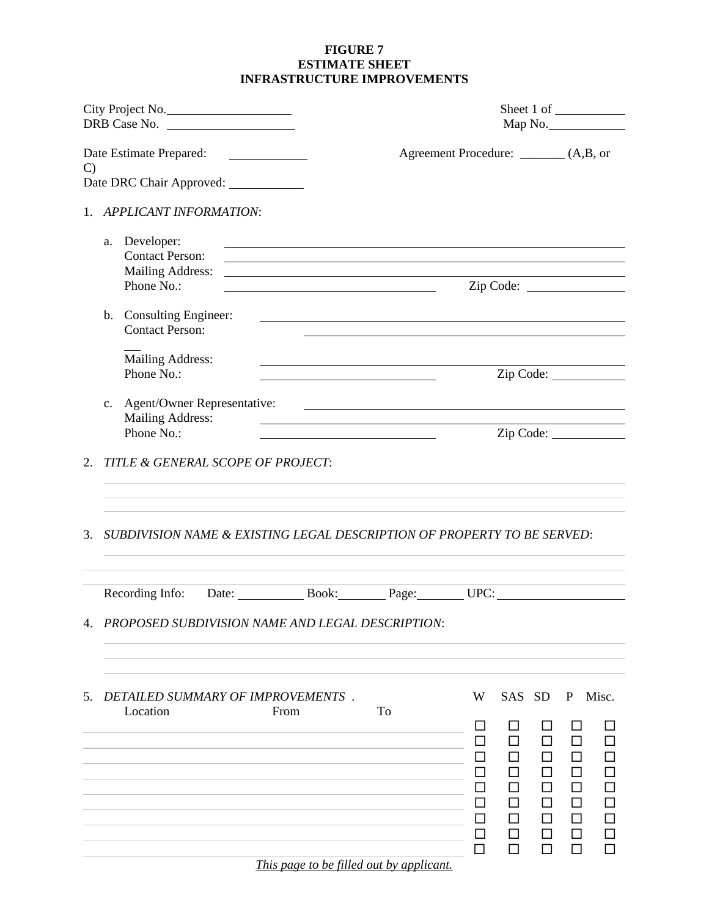## **FIGURE 7 ESTIMATE SHEET INFRASTRUCTURE IMPROVEMENTS**

| City Project No.                                     |             |                                                                           |  |                                                                                                                                                                                                                                                                      | Map No. |                                        |                                                 |    |              |           |
|------------------------------------------------------|-------------|---------------------------------------------------------------------------|--|----------------------------------------------------------------------------------------------------------------------------------------------------------------------------------------------------------------------------------------------------------------------|---------|----------------------------------------|-------------------------------------------------|----|--------------|-----------|
| $\mathbf{C}$<br>Date DRC Chair Approved: ___________ |             |                                                                           |  |                                                                                                                                                                                                                                                                      |         | Agreement Procedure: ________ (A,B, or |                                                 |    |              |           |
|                                                      |             | 1. APPLICANT INFORMATION:                                                 |  |                                                                                                                                                                                                                                                                      |         |                                        |                                                 |    |              |           |
|                                                      |             | a. Developer:<br><b>Contact Person:</b><br>Mailing Address:<br>Phone No.: |  | <u>a sa barang ang pagbabang nagang pangangang nagang pangangang nagang pang</u><br><u> 1989 - John Stone, amerikansk politiker (* 1989)</u><br><u> 1989 - Johann Stein, mars an t-Amerikaansk ferskeizh en de skriuwer en deze en deze en deze en deze en deze </u> |         |                                        | Zip Code:                                       |    |              |           |
|                                                      |             | b. Consulting Engineer:<br><b>Contact Person:</b>                         |  |                                                                                                                                                                                                                                                                      |         |                                        |                                                 |    |              |           |
|                                                      |             | Mailing Address:<br>Phone No.:                                            |  |                                                                                                                                                                                                                                                                      |         |                                        |                                                 |    |              | Zip Code: |
|                                                      | $c_{\cdot}$ | Mailing Address:<br>Phone No.:                                            |  | <u> 1989 - Andrea Stadt Britain, amerikansk politik (</u>                                                                                                                                                                                                            |         |                                        |                                                 |    |              | Zip Code: |
|                                                      |             | 2. TITLE & GENERAL SCOPE OF PROJECT:                                      |  |                                                                                                                                                                                                                                                                      |         |                                        |                                                 |    |              |           |
| 3.                                                   |             |                                                                           |  | SUBDIVISION NAME & EXISTING LEGAL DESCRIPTION OF PROPERTY TO BE SERVED:                                                                                                                                                                                              |         |                                        |                                                 |    |              |           |
|                                                      |             |                                                                           |  |                                                                                                                                                                                                                                                                      |         |                                        |                                                 |    |              |           |
|                                                      |             |                                                                           |  | 4. PROPOSED SUBDIVISION NAME AND LEGAL DESCRIPTION:                                                                                                                                                                                                                  |         |                                        |                                                 |    |              |           |
| 5.                                                   |             |                                                                           |  | DETAILED SUMMARY OF IMPROVEMENTS.                                                                                                                                                                                                                                    |         | W                                      | SAS SD                                          |    | $\mathbf{P}$ | Misc.     |
|                                                      |             | Location                                                                  |  | From                                                                                                                                                                                                                                                                 | To      | ப<br>ΙI<br>ப<br>ப                      | П<br>$\mathsf{L}$<br>П<br>$\Box$<br>П<br>П<br>П | ΙI | ΙI           |           |

*This page to be filled out by applicant.*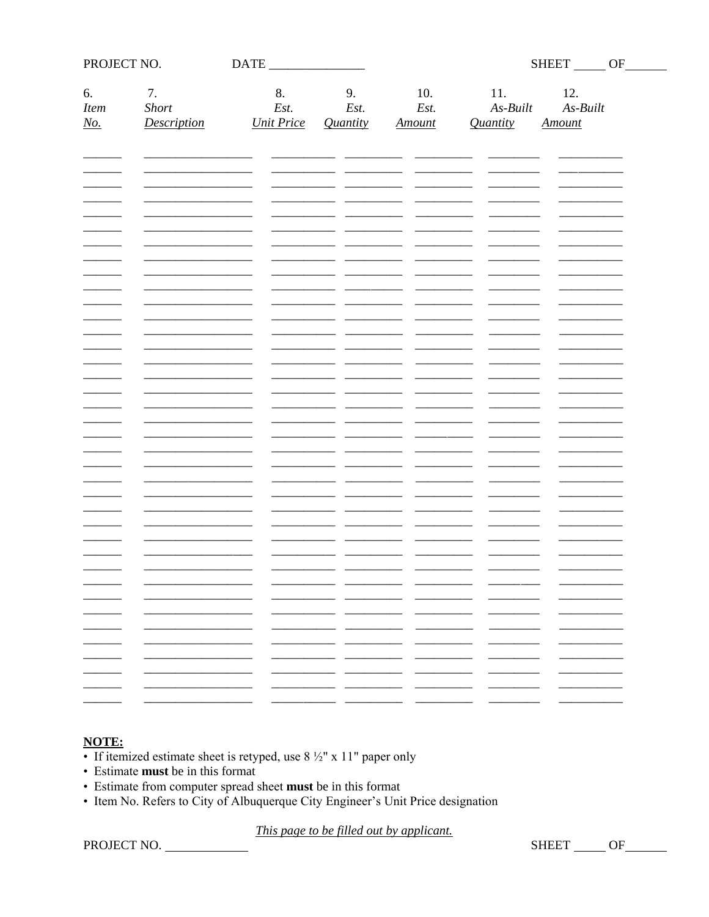| PROJECT NO.                     |                                   |                                                                                            |                        |                                    |                               | SHEET OF                           |                          |
|---------------------------------|-----------------------------------|--------------------------------------------------------------------------------------------|------------------------|------------------------------------|-------------------------------|------------------------------------|--------------------------|
| 6.<br>Item<br>$\underline{No.}$ | 7.<br>Short<br><b>Description</b> | 8.<br>Est.<br><b>Unit Price</b>                                                            | 9.<br>Est.<br>Quantity | 10.<br>Est.<br><b>Amount</b>       | 11.<br>$As-Built$<br>Quantity | 12.<br>$As-Built$<br><b>Amount</b> |                          |
|                                 |                                   |                                                                                            |                        |                                    |                               |                                    |                          |
|                                 |                                   |                                                                                            |                        |                                    |                               |                                    |                          |
|                                 |                                   |                                                                                            |                        |                                    |                               |                                    |                          |
|                                 |                                   |                                                                                            |                        |                                    |                               |                                    |                          |
|                                 |                                   |                                                                                            |                        |                                    |                               |                                    |                          |
|                                 |                                   |                                                                                            |                        |                                    |                               |                                    |                          |
|                                 |                                   |                                                                                            |                        |                                    |                               |                                    |                          |
|                                 |                                   |                                                                                            |                        |                                    |                               |                                    |                          |
|                                 |                                   |                                                                                            |                        |                                    |                               |                                    |                          |
|                                 |                                   |                                                                                            |                        |                                    |                               |                                    |                          |
|                                 |                                   |                                                                                            |                        |                                    |                               |                                    |                          |
|                                 |                                   | $\overline{\phantom{0}}$                                                                   |                        | -                                  | -                             | -                                  |                          |
|                                 |                                   | $\overline{\phantom{0}}$                                                                   | - -<br>- -<br>- -      | $\sim$<br>- -<br>- -               |                               |                                    |                          |
| $\overline{\phantom{0}}$        |                                   | $\sim$<br>$\overline{\phantom{0}}$<br>$\overline{\phantom{0}}$<br>$\overline{\phantom{0}}$ | __                     | $\overline{\phantom{0}}$<br>$\sim$ | ___                           | $\overline{\phantom{0}}$           | $\overline{\phantom{0}}$ |
|                                 |                                   |                                                                                            |                        |                                    |                               |                                    |                          |

# **NOTE:**

- If itemized estimate sheet is retyped, use  $8\frac{1}{2}$ " x 11" paper only
- Estimate must be in this format
- Estimate from computer spread sheet must be in this format
- Item No. Refers to City of Albuquerque City Engineer's Unit Price designation

This page to be filled out by applicant.

PROJECT NO.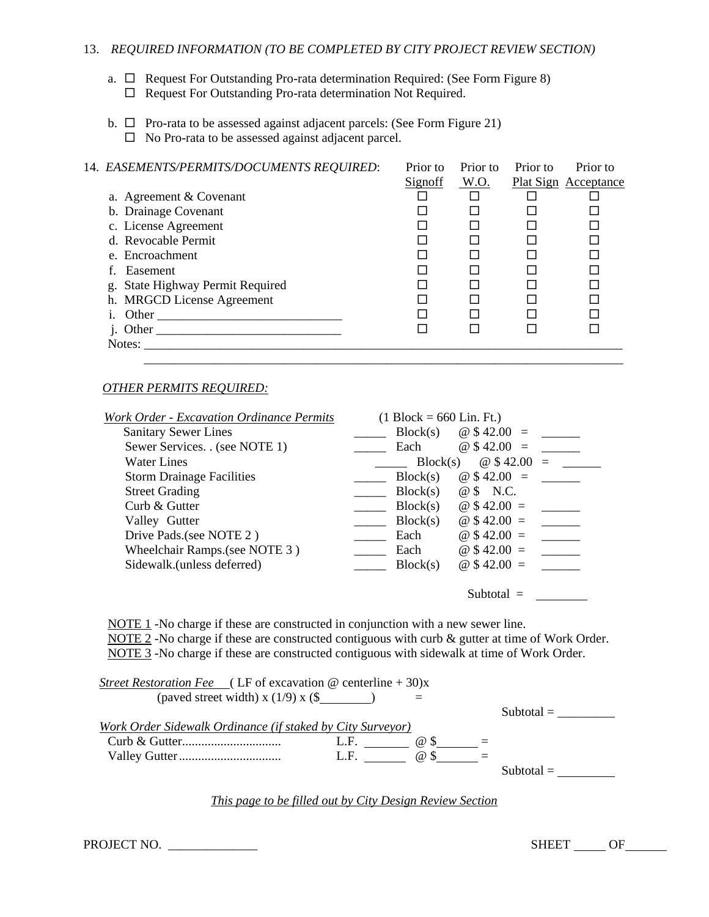## 13. *REQUIRED INFORMATION (TO BE COMPLETED BY CITY PROJECT REVIEW SECTION)*

- a.  $\Box$  Request For Outstanding Pro-rata determination Required: (See Form Figure 8)  $\Box$  Request For Outstanding Pro-rata determination Not Required.
- b.  $\Box$  Pro-rata to be assessed against adjacent parcels: (See Form Figure 21)  $\Box$  No Pro-rata to be assessed against adjacent parcel.

| 14. EASEMENTS/PERMITS/DOCUMENTS REQUIRED: | Prior to       | Prior to | Prior to | Prior to                    |
|-------------------------------------------|----------------|----------|----------|-----------------------------|
|                                           | <b>Signoff</b> | W.O.     |          | <b>Plat Sign Acceptance</b> |
| a. Agreement & Covenant                   |                |          |          |                             |
| b. Drainage Covenant                      |                |          |          |                             |
| c. License Agreement                      |                |          |          |                             |
| d. Revocable Permit                       |                |          |          |                             |
| e. Encroachment                           |                |          |          |                             |
| f. Easement                               |                |          |          |                             |
| g. State Highway Permit Required          |                |          |          |                             |
| h. MRGCD License Agreement                |                |          |          |                             |
| i. Other                                  |                |          |          |                             |
| j. Other                                  |                |          |          |                             |
| Notes:                                    |                |          |          |                             |
|                                           |                |          |          |                             |

#### *OTHER PERMITS REQUIRED:*

| <b>Work Order - Excavation Ordinance Permits</b> | $(1 \text{ Block} = 660 \text{ Lin. } \text{Ft.})$ |
|--------------------------------------------------|----------------------------------------------------|
| <b>Sanitary Sewer Lines</b>                      | $@$42.00 =$<br>Block(s)                            |
| Sewer Services. . (see NOTE 1)                   | $@$42.00 =$<br>Each                                |
| <b>Water Lines</b>                               | @\$42.00<br>Block(s)<br>$=$                        |
| <b>Storm Drainage Facilities</b>                 | $@$42.00 =$<br>Block(s)                            |
| <b>Street Grading</b>                            | Block(s)<br>@ \$ N.C.                              |
| Curb $&$ Gutter                                  | @ $$42.00 =$<br>Block(s)                           |
| Valley Gutter                                    | $@$42.00 =$<br>Block(s)                            |
| Drive Pads. (see NOTE 2)                         | @ $$42.00 =$<br>Each                               |
| Wheelchair Ramps. (see NOTE 3)                   | $@$42.00 =$<br>Each                                |
| Sidewalk.(unless deferred)                       | @ $$42.00 =$<br>Block(s)                           |
|                                                  | Subtotal $=$                                       |

NOTE 1 -No charge if these are constructed in conjunction with a new sewer line. NOTE 2 -No charge if these are constructed contiguous with curb & gutter at time of Work Order. NOTE 3 -No charge if these are constructed contiguous with sidewalk at time of Work Order.

| <i>Street Restoration Fee</i> (LF of excavation @ centerline + 30)x |                     |              |
|---------------------------------------------------------------------|---------------------|--------------|
| (paved street width) x $(1/9)$ x $(\$$ )                            |                     |              |
|                                                                     |                     | Subtotal $=$ |
| Work Order Sidewalk Ordinance (if staked by City Surveyor)          |                     |              |
|                                                                     | L.F.<br>$\omega$ S  |              |
|                                                                     | $\omega$ \$<br>L.F. |              |
|                                                                     |                     | Subtotal $=$ |
|                                                                     |                     |              |

*This page to be filled out by City Design Review Section*

| PROJECT NO. |  |
|-------------|--|
|-------------|--|

 $SHEET$  OF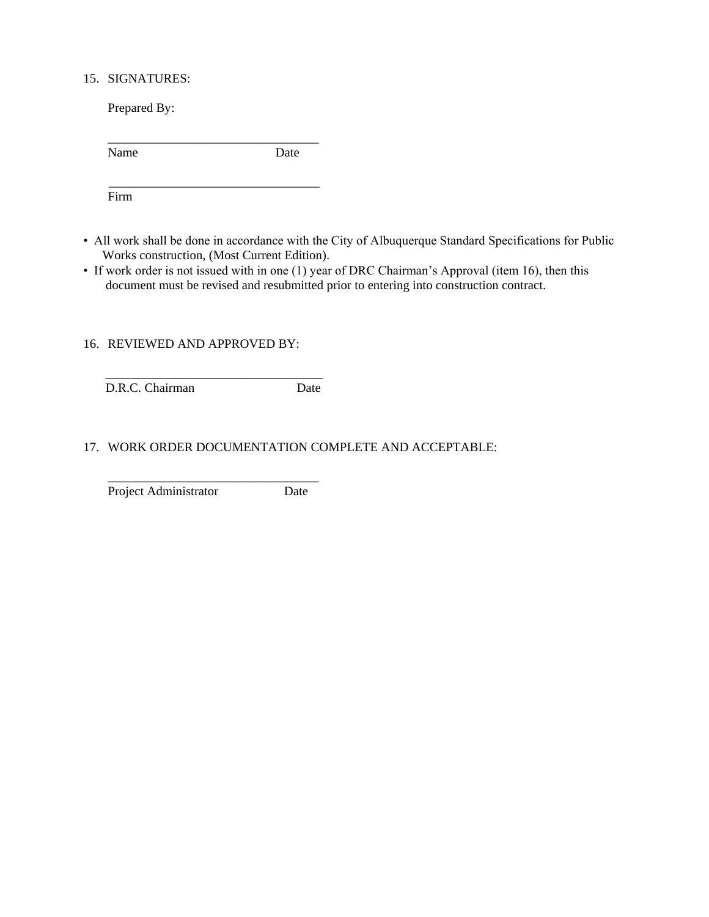## 15. SIGNATURES:

Prepared By:

| Name | Date |
|------|------|
|      |      |

Firm

- All work shall be done in accordance with the City of Albuquerque Standard Specifications for Public Works construction, (Most Current Edition).
- If work order is not issued with in one (1) year of DRC Chairman's Approval (item 16), then this document must be revised and resubmitted prior to entering into construction contract.

## 16. REVIEWED AND APPROVED BY:

\_\_\_\_\_\_\_\_\_\_\_\_\_\_\_\_\_\_\_\_\_\_\_\_\_\_\_\_\_\_\_\_\_\_

D.R.C. Chairman Date

## 17. WORK ORDER DOCUMENTATION COMPLETE AND ACCEPTABLE:

\_\_\_\_\_\_\_\_\_\_\_\_\_\_\_\_\_\_\_\_\_\_\_\_\_\_\_\_\_\_\_\_\_ Project Administrator Date